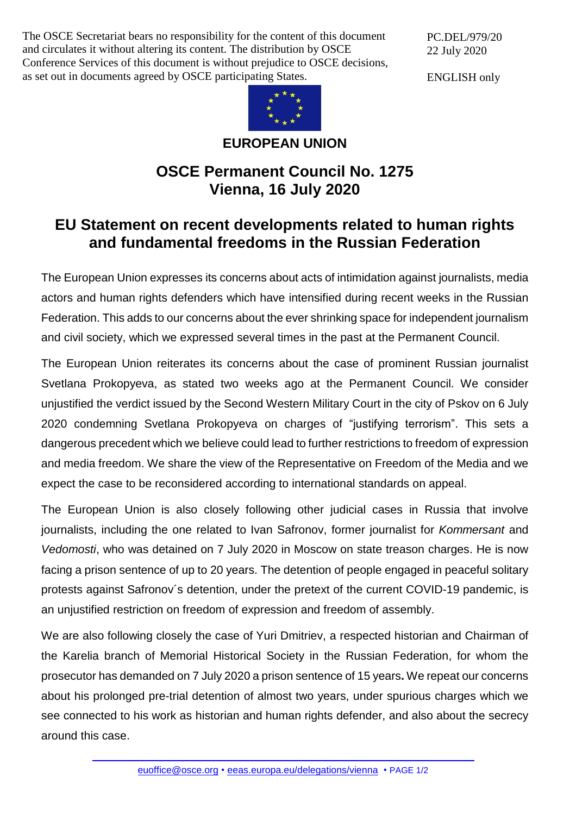The OSCE Secretariat bears no responsibility for the content of this document and circulates it without altering its content. The distribution by OSCE Conference Services of this document is without prejudice to OSCE decisions, as set out in documents agreed by OSCE participating States.

PC.DEL/979/20 22 July 2020

ENGLISH only



## **EUROPEAN UNION**

## **OSCE Permanent Council No. 1275 Vienna, 16 July 2020**

## **EU Statement on recent developments related to human rights and fundamental freedoms in the Russian Federation**

The European Union expresses its concerns about acts of intimidation against journalists, media actors and human rights defenders which have intensified during recent weeks in the Russian Federation. This adds to our concerns about the ever shrinking space for independent journalism and civil society, which we expressed several times in the past at the Permanent Council.

The European Union reiterates its concerns about the case of prominent Russian journalist Svetlana Prokopyeva, as stated two weeks ago at the Permanent Council. We consider unjustified the verdict issued by the Second Western Military Court in the city of Pskov on 6 July 2020 condemning Svetlana Prokopyeva on charges of "justifying terrorism". This sets a dangerous precedent which we believe could lead to further restrictions to freedom of expression and media freedom. We share the view of the Representative on Freedom of the Media and we expect the case to be reconsidered according to international standards on appeal.

The European Union is also closely following other judicial cases in Russia that involve journalists, including the one related to Ivan Safronov, former journalist for *Kommersant* and *Vedomosti*, who was detained on 7 July 2020 in Moscow on state treason charges. He is now facing a prison sentence of up to 20 years. The detention of people engaged in peaceful solitary protests against Safronov´s detention, under the pretext of the current COVID-19 pandemic, is an unjustified restriction on freedom of expression and freedom of assembly.

We are also following closely the case of Yuri Dmitriev, a respected historian and Chairman of the Karelia branch of Memorial Historical Society in the Russian Federation, for whom the prosecutor has demanded on 7 July 2020 a prison sentence of 15 years**.** We repeat our concerns about his prolonged pre-trial detention of almost two years, under spurious charges which we see connected to his work as historian and human rights defender, and also about the secrecy around this case.